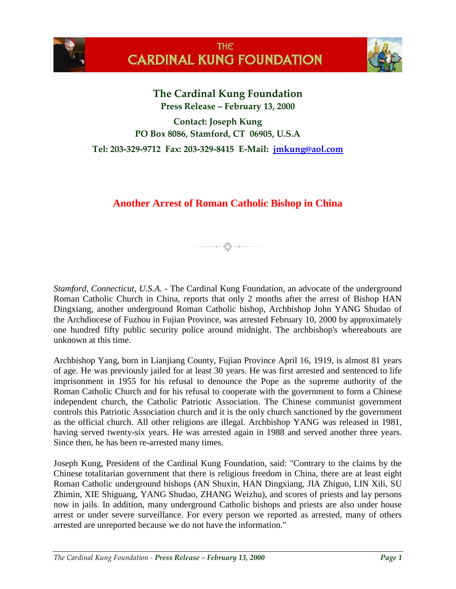



**The Cardinal Kung Foundation Press Release – February 13, 2000**

**Contact: Joseph Kung PO Box 8086, Stamford, CT 06905, U.S.A**

**Tel: 203-329-9712 Fax: 203-329-8415 E-Mail: [jmkung@aol.com](mailto:jmkung@aol.com)**

# **Another Arrest of Roman Catholic Bishop in China**

 $-$  a  $\sum_{\substack{0 \leq 0 \\ 0 \leq 0}}^{\frac{6}{3}}$   $\frac{9}{3}$   $-$  a  $-$ 

*Stamford, Connecticut, U.S.A.* - The Cardinal Kung Foundation, an advocate of the underground Roman Catholic Church in China, reports that only 2 months after the arrest of Bishop HAN Dingxiang, another underground Roman Catholic bishop, Archbishop John YANG Shudao of the Archdiocese of Fuzhou in Fujian Province, was arrested February 10, 2000 by approximately one hundred fifty public security police around midnight. The archbishop's whereabouts are unknown at this time.

Archbishop Yang, born in Lianjiang County, Fujian Province April 16, 1919, is almost 81 years of age. He was previously jailed for at least 30 years. He was first arrested and sentenced to life imprisonment in 1955 for his refusal to denounce the Pope as the supreme authority of the Roman Catholic Church and for his refusal to cooperate with the government to form a Chinese independent church, the Catholic Patriotic Association. The Chinese communist government controls this Patriotic Association church and it is the only church sanctioned by the government as the official church. All other religions are illegal. Archbishop YANG was released in 1981, having served twenty-six years. He was arrested again in 1988 and served another three years. Since then, he has been re-arrested many times.

Joseph Kung, President of the Cardinal Kung Foundation, said: "Contrary to the claims by the Chinese totalitarian government that there is religious freedom in China, there are at least eight Roman Catholic underground bishops (AN Shuxin, HAN Dingxiang, JIA Zhiguo, LIN Xili, SU Zhimin, XIE Shiguang, YANG Shudao, ZHANG Weizhu), and scores of priests and lay persons now in jails. In addition, many underground Catholic bishops and priests are also under house arrest or under severe surveillance. For every person we reported as arrested, many of others arrested are unreported because we do not have the information."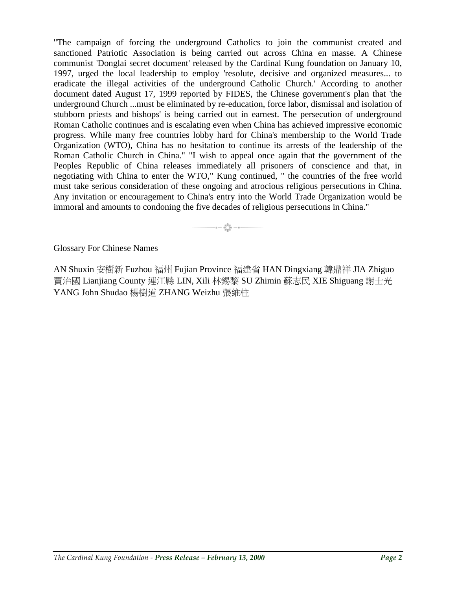"The campaign of forcing the underground Catholics to join the communist created and sanctioned Patriotic Association is being carried out across China en masse. A Chinese communist 'Donglai secret document' released by the Cardinal Kung foundation on January 10, 1997, urged the local leadership to employ 'resolute, decisive and organized measures... to eradicate the illegal activities of the underground Catholic Church.' According to another document dated August 17, 1999 reported by FIDES, the Chinese government's plan that 'the underground Church ...must be eliminated by re-education, force labor, dismissal and isolation of stubborn priests and bishops' is being carried out in earnest. The persecution of underground Roman Catholic continues and is escalating even when China has achieved impressive economic progress. While many free countries lobby hard for China's membership to the World Trade Organization (WTO), China has no hesitation to continue its arrests of the leadership of the Roman Catholic Church in China." "I wish to appeal once again that the government of the Peoples Republic of China releases immediately all prisoners of conscience and that, in negotiating with China to enter the WTO," Kung continued, " the countries of the free world must take serious consideration of these ongoing and atrocious religious persecutions in China. Any invitation or encouragement to China's entry into the World Trade Organization would be immoral and amounts to condoning the five decades of religious persecutions in China."

 $-$  0  $-$  0  $\bigcirc_{0}^{0.0}$  0  $-$  0  $-$ 

Glossary For Chinese Names

AN Shuxin 安樹新 Fuzhou 福州 Fujian Province 福建省 HAN Dingxiang 韓鼎祥 JIA Zhiguo 賈治國 Lianjiang County 連江縣 LIN, Xili 林錫黎 SU Zhimin 蘇志民 XIE Shiguang 謝士光 YANG John Shudao 楊樹道 ZHANG Weizhu 張維柱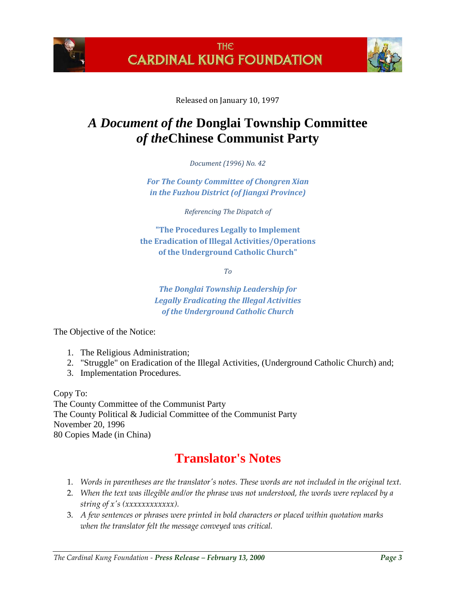



Released on January 10, 1997

# *A Document of the* **Donglai Township Committee** *of the***Chinese Communist Party**

*Document (1996) No. 42*

*For The County Committee of Chongren Xian in the Fuzhou District (of Jiangxi Province)*

*Referencing The Dispatch of*

**"The Procedures Legally to Implement the Eradication of Illegal Activities/Operations of the Underground Catholic Church"**

*To*

*The Donglai Township Leadership for Legally Eradicating the Illegal Activities of the Underground Catholic Church*

The Objective of the Notice:

- 1. The Religious Administration;
- 2. "Struggle" on Eradication of the Illegal Activities, (Underground Catholic Church) and;
- 3. Implementation Procedures.

Copy To: The County Committee of the Communist Party The County Political & Judicial Committee of the Communist Party November 20, 1996 80 Copies Made (in China)

# **Translator's Notes**

- 1. *Words in parentheses are the translator's notes. These words are not included in the original text.*
- 2. *When the text was illegible and/or the phrase was not understood, the words were replaced by a string of x's (xxxxxxxxxxxx).*
- 3. *A few sentences or phrases were printed in bold characters or placed within quotation marks when the translator felt the message conveyed was critical.*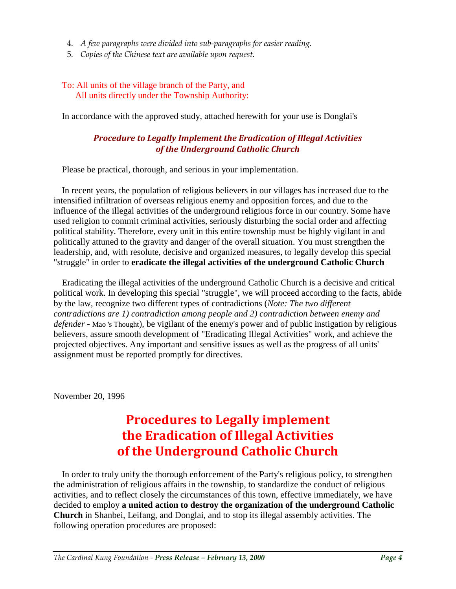- 4. *A few paragraphs were divided into sub-paragraphs for easier reading.*
- 5. *Copies of the Chinese text are available upon request.*

### To: All units of the village branch of the Party, and All units directly under the Township Authority:

In accordance with the approved study, attached herewith for your use is Donglai's

## *Procedure to Legally Implement the Eradication of Illegal Activities of the Underground Catholic Church*

Please be practical, thorough, and serious in your implementation.

In recent years, the population of religious believers in our villages has increased due to the intensified infiltration of overseas religious enemy and opposition forces, and due to the influence of the illegal activities of the underground religious force in our country. Some have used religion to commit criminal activities, seriously disturbing the social order and affecting political stability. Therefore, every unit in this entire township must be highly vigilant in and politically attuned to the gravity and danger of the overall situation. You must strengthen the leadership, and, with resolute, decisive and organized measures, to legally develop this special "struggle" in order to **eradicate the illegal activities of the underground Catholic Church**

Eradicating the illegal activities of the underground Catholic Church is a decisive and critical political work. In developing this special "struggle", we will proceed according to the facts, abide by the law, recognize two different types of contradictions (*Note: The two different contradictions are 1) contradiction among people and 2) contradiction between enemy and defender* - Mao 's Thought), be vigilant of the enemy's power and of public instigation by religious believers, assure smooth development of "Eradicating Illegal Activities" work, and achieve the projected objectives. Any important and sensitive issues as well as the progress of all units' assignment must be reported promptly for directives.

November 20, 1996

# **Procedures to Legally implement the Eradication of Illegal Activities of the Underground Catholic Church**

In order to truly unify the thorough enforcement of the Party's religious policy, to strengthen the administration of religious affairs in the township, to standardize the conduct of religious activities, and to reflect closely the circumstances of this town, effective immediately, we have decided to employ **a united action to destroy the organization of the underground Catholic Church** in Shanbei, Leifang, and Donglai, and to stop its illegal assembly activities. The following operation procedures are proposed: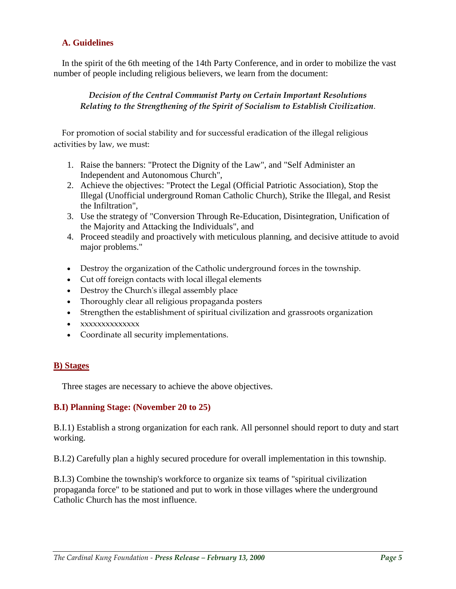## **A. Guidelines**

In the spirit of the 6th meeting of the 14th Party Conference, and in order to mobilize the vast number of people including religious believers, we learn from the document:

### *Decision of the Central Communist Party on Certain Important Resolutions Relating to the Strengthening of the Spirit of Socialism to Establish Civilization*.

For promotion of social stability and for successful eradication of the illegal religious activities by law, we must:

- 1. Raise the banners: "Protect the Dignity of the Law", and "Self Administer an Independent and Autonomous Church",
- 2. Achieve the objectives: "Protect the Legal (Official Patriotic Association), Stop the Illegal (Unofficial underground Roman Catholic Church), Strike the Illegal, and Resist the Infiltration",
- 3. Use the strategy of "Conversion Through Re-Education, Disintegration, Unification of the Majority and Attacking the Individuals", and
- 4. Proceed steadily and proactively with meticulous planning, and decisive attitude to avoid major problems."
- Destroy the organization of the Catholic underground forces in the township.
- Cut off foreign contacts with local illegal elements
- Destroy the Church's illegal assembly place
- Thoroughly clear all religious propaganda posters
- Strengthen the establishment of spiritual civilization and grassroots organization
- xxxxxxxxxxxxxx
- Coordinate all security implementations.

## **B) Stages**

Three stages are necessary to achieve the above objectives.

## **B.I) Planning Stage: (November 20 to 25)**

B.I.1) Establish a strong organization for each rank. All personnel should report to duty and start working.

B.I.2) Carefully plan a highly secured procedure for overall implementation in this township.

B.I.3) Combine the township's workforce to organize six teams of "spiritual civilization propaganda force" to be stationed and put to work in those villages where the underground Catholic Church has the most influence.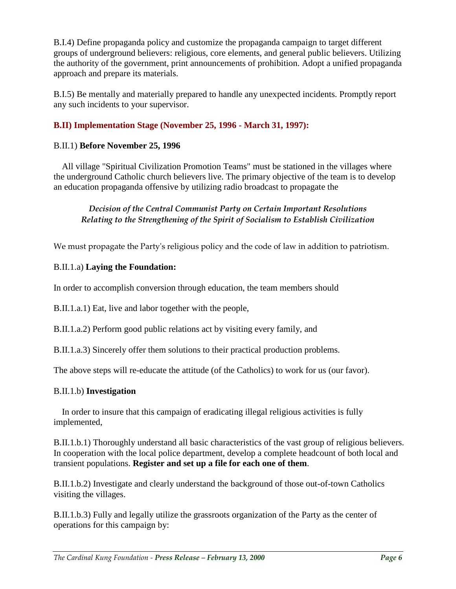B.I.4) Define propaganda policy and customize the propaganda campaign to target different groups of underground believers: religious, core elements, and general public believers. Utilizing the authority of the government, print announcements of prohibition. Adopt a unified propaganda approach and prepare its materials.

B.I.5) Be mentally and materially prepared to handle any unexpected incidents. Promptly report any such incidents to your supervisor.

# **B.II) Implementation Stage (November 25, 1996 - March 31, 1997):**

## B.II.1) **Before November 25, 1996**

All village "Spiritual Civilization Promotion Teams" must be stationed in the villages where the underground Catholic church believers live. The primary objective of the team is to develop an education propaganda offensive by utilizing radio broadcast to propagate the

## *Decision of the Central Communist Party on Certain Important Resolutions Relating to the Strengthening of the Spirit of Socialism to Establish Civilization*

We must propagate the Party's religious policy and the code of law in addition to patriotism.

## B.II.1.a) **Laying the Foundation:**

In order to accomplish conversion through education, the team members should

B.II.1.a.1) Eat, live and labor together with the people,

B.II.1.a.2) Perform good public relations act by visiting every family, and

B.II.1.a.3) Sincerely offer them solutions to their practical production problems.

The above steps will re-educate the attitude (of the Catholics) to work for us (our favor).

# B.II.1.b) **Investigation**

In order to insure that this campaign of eradicating illegal religious activities is fully implemented,

B.II.1.b.1) Thoroughly understand all basic characteristics of the vast group of religious believers. In cooperation with the local police department, develop a complete headcount of both local and transient populations. **Register and set up a file for each one of them**.

B.II.1.b.2) Investigate and clearly understand the background of those out-of-town Catholics visiting the villages.

B.II.1.b.3) Fully and legally utilize the grassroots organization of the Party as the center of operations for this campaign by: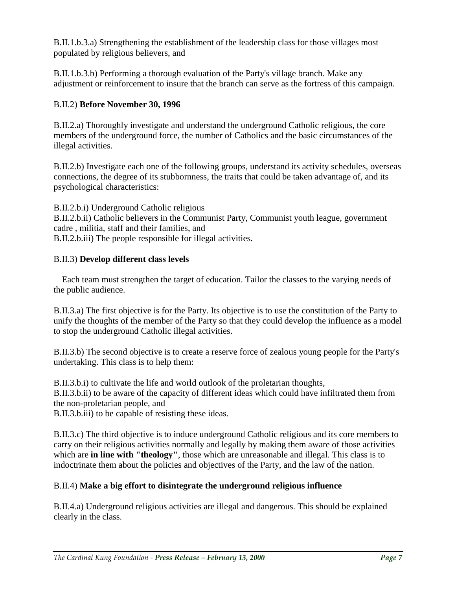B.II.1.b.3.a) Strengthening the establishment of the leadership class for those villages most populated by religious believers, and

B.II.1.b.3.b) Performing a thorough evaluation of the Party's village branch. Make any adjustment or reinforcement to insure that the branch can serve as the fortress of this campaign.

# B.II.2) **Before November 30, 1996**

B.II.2.a) Thoroughly investigate and understand the underground Catholic religious, the core members of the underground force, the number of Catholics and the basic circumstances of the illegal activities.

B.II.2.b) Investigate each one of the following groups, understand its activity schedules, overseas connections, the degree of its stubbornness, the traits that could be taken advantage of, and its psychological characteristics:

B.II.2.b.i) Underground Catholic religious

B.II.2.b.ii) Catholic believers in the Communist Party, Communist youth league, government cadre , militia, staff and their families, and

B.II.2.b.iii) The people responsible for illegal activities.

# B.II.3) **Develop different class levels**

Each team must strengthen the target of education. Tailor the classes to the varying needs of the public audience.

B.II.3.a) The first objective is for the Party. Its objective is to use the constitution of the Party to unify the thoughts of the member of the Party so that they could develop the influence as a model to stop the underground Catholic illegal activities.

B.II.3.b) The second objective is to create a reserve force of zealous young people for the Party's undertaking. This class is to help them:

B.II.3.b.i) to cultivate the life and world outlook of the proletarian thoughts, B.II.3.b.ii) to be aware of the capacity of different ideas which could have infiltrated them from the non-proletarian people, and

B.II.3.b.iii) to be capable of resisting these ideas.

B.II.3.c) The third objective is to induce underground Catholic religious and its core members to carry on their religious activities normally and legally by making them aware of those activities which are **in line with "theology"**, those which are unreasonable and illegal. This class is to indoctrinate them about the policies and objectives of the Party, and the law of the nation.

# B.II.4) **Make a big effort to disintegrate the underground religious influence**

B.II.4.a) Underground religious activities are illegal and dangerous. This should be explained clearly in the class.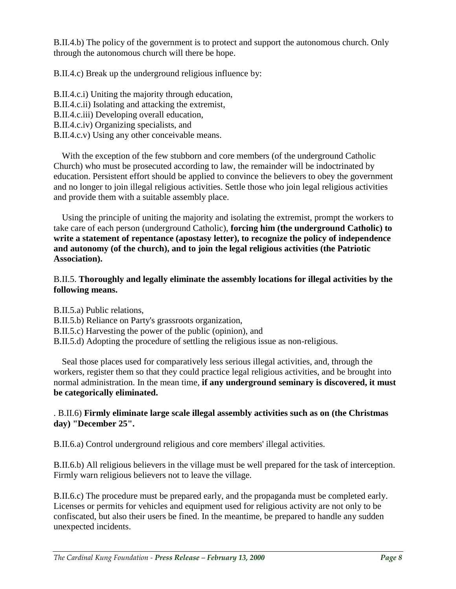B.II.4.b) The policy of the government is to protect and support the autonomous church. Only through the autonomous church will there be hope.

B.II.4.c) Break up the underground religious influence by:

B.II.4.c.i) Uniting the majority through education, B.II.4.c.ii) Isolating and attacking the extremist, B.II.4.c.iii) Developing overall education, B.II.4.c.iv) Organizing specialists, and B.II.4.c.v) Using any other conceivable means.

With the exception of the few stubborn and core members (of the underground Catholic Church) who must be prosecuted according to law, the remainder will be indoctrinated by education. Persistent effort should be applied to convince the believers to obey the government and no longer to join illegal religious activities. Settle those who join legal religious activities and provide them with a suitable assembly place.

Using the principle of uniting the majority and isolating the extremist, prompt the workers to take care of each person (underground Catholic), **forcing him (the underground Catholic) to write a statement of repentance (apostasy letter), to recognize the policy of independence and autonomy (of the church), and to join the legal religious activities (the Patriotic Association).**

## B.II.5. **Thoroughly and legally eliminate the assembly locations for illegal activities by the following means.**

B.II.5.a) Public relations,

- B.II.5.b) Reliance on Party's grassroots organization,
- B.II.5.c) Harvesting the power of the public (opinion), and
- B.II.5.d) Adopting the procedure of settling the religious issue as non-religious.

Seal those places used for comparatively less serious illegal activities, and, through the workers, register them so that they could practice legal religious activities, and be brought into normal administration. In the mean time, **if any underground seminary is discovered, it must be categorically eliminated.**

## . B.II.6) **Firmly eliminate large scale illegal assembly activities such as on (the Christmas day) "December 25".**

B.II.6.a) Control underground religious and core members' illegal activities.

B.II.6.b) All religious believers in the village must be well prepared for the task of interception. Firmly warn religious believers not to leave the village.

B.II.6.c) The procedure must be prepared early, and the propaganda must be completed early. Licenses or permits for vehicles and equipment used for religious activity are not only to be confiscated, but also their users be fined. In the meantime, be prepared to handle any sudden unexpected incidents.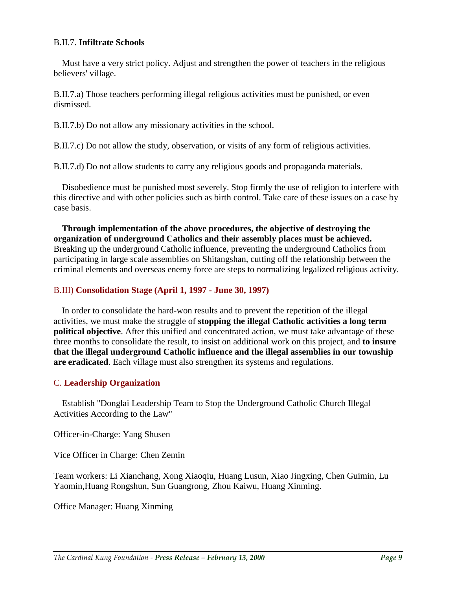#### B.II.7. **Infiltrate Schools**

Must have a very strict policy. Adjust and strengthen the power of teachers in the religious believers' village.

B.II.7.a) Those teachers performing illegal religious activities must be punished, or even dismissed.

B.II.7.b) Do not allow any missionary activities in the school.

B.II.7.c) Do not allow the study, observation, or visits of any form of religious activities.

B.II.7.d) Do not allow students to carry any religious goods and propaganda materials.

Disobedience must be punished most severely. Stop firmly the use of religion to interfere with this directive and with other policies such as birth control. Take care of these issues on a case by case basis.

**Through implementation of the above procedures, the objective of destroying the organization of underground Catholics and their assembly places must be achieved.** Breaking up the underground Catholic influence, preventing the underground Catholics from participating in large scale assemblies on Shitangshan, cutting off the relationship between the criminal elements and overseas enemy force are steps to normalizing legalized religious activity.

#### B.III) **Consolidation Stage (April 1, 1997 - June 30, 1997)**

In order to consolidate the hard-won results and to prevent the repetition of the illegal activities, we must make the struggle of **stopping the illegal Catholic activities a long term political objective**. After this unified and concentrated action, we must take advantage of these three months to consolidate the result, to insist on additional work on this project, and **to insure that the illegal underground Catholic influence and the illegal assemblies in our township are eradicated**. Each village must also strengthen its systems and regulations.

## C. **Leadership Organization**

Establish "Donglai Leadership Team to Stop the Underground Catholic Church Illegal Activities According to the Law"

Officer-in-Charge: Yang Shusen

Vice Officer in Charge: Chen Zemin

Team workers: Li Xianchang, Xong Xiaoqiu, Huang Lusun, Xiao Jingxing, Chen Guimin, Lu Yaomin,Huang Rongshun, Sun Guangrong, Zhou Kaiwu, Huang Xinming.

Office Manager: Huang Xinming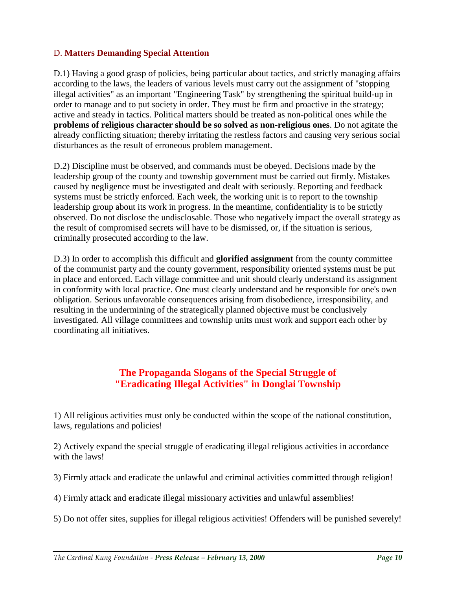## D. **Matters Demanding Special Attention**

D.1) Having a good grasp of policies, being particular about tactics, and strictly managing affairs according to the laws, the leaders of various levels must carry out the assignment of "stopping illegal activities" as an important "Engineering Task" by strengthening the spiritual build-up in order to manage and to put society in order. They must be firm and proactive in the strategy; active and steady in tactics. Political matters should be treated as non-political ones while the **problems of religious character should be so solved as non-religious ones**. Do not agitate the already conflicting situation; thereby irritating the restless factors and causing very serious social disturbances as the result of erroneous problem management.

D.2) Discipline must be observed, and commands must be obeyed. Decisions made by the leadership group of the county and township government must be carried out firmly. Mistakes caused by negligence must be investigated and dealt with seriously. Reporting and feedback systems must be strictly enforced. Each week, the working unit is to report to the township leadership group about its work in progress. In the meantime, confidentiality is to be strictly observed. Do not disclose the undisclosable. Those who negatively impact the overall strategy as the result of compromised secrets will have to be dismissed, or, if the situation is serious, criminally prosecuted according to the law.

D.3) In order to accomplish this difficult and **glorified assignment** from the county committee of the communist party and the county government, responsibility oriented systems must be put in place and enforced. Each village committee and unit should clearly understand its assignment in conformity with local practice. One must clearly understand and be responsible for one's own obligation. Serious unfavorable consequences arising from disobedience, irresponsibility, and resulting in the undermining of the strategically planned objective must be conclusively investigated. All village committees and township units must work and support each other by coordinating all initiatives.

# **The Propaganda Slogans of the Special Struggle of "Eradicating Illegal Activities" in Donglai Township**

1) All religious activities must only be conducted within the scope of the national constitution, laws, regulations and policies!

2) Actively expand the special struggle of eradicating illegal religious activities in accordance with the laws!

3) Firmly attack and eradicate the unlawful and criminal activities committed through religion!

4) Firmly attack and eradicate illegal missionary activities and unlawful assemblies!

5) Do not offer sites, supplies for illegal religious activities! Offenders will be punished severely!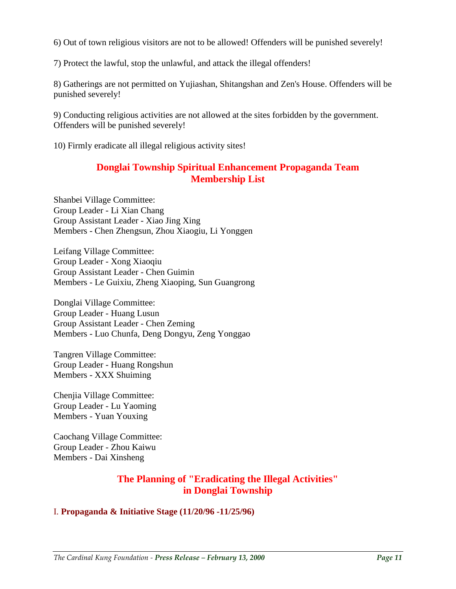6) Out of town religious visitors are not to be allowed! Offenders will be punished severely!

7) Protect the lawful, stop the unlawful, and attack the illegal offenders!

8) Gatherings are not permitted on Yujiashan, Shitangshan and Zen's House. Offenders will be punished severely!

9) Conducting religious activities are not allowed at the sites forbidden by the government. Offenders will be punished severely!

10) Firmly eradicate all illegal religious activity sites!

# **Donglai Township Spiritual Enhancement Propaganda Team Membership List**

Shanbei Village Committee: Group Leader - Li Xian Chang Group Assistant Leader - Xiao Jing Xing Members - Chen Zhengsun, Zhou Xiaogiu, Li Yonggen

Leifang Village Committee: Group Leader - Xong Xiaoqiu Group Assistant Leader - Chen Guimin Members - Le Guixiu, Zheng Xiaoping, Sun Guangrong

Donglai Village Committee: Group Leader - Huang Lusun Group Assistant Leader - Chen Zeming Members - Luo Chunfa, Deng Dongyu, Zeng Yonggao

Tangren Village Committee: Group Leader - Huang Rongshun Members - XXX Shuiming

Chenjia Village Committee: Group Leader - Lu Yaoming Members - Yuan Youxing

Caochang Village Committee: Group Leader - Zhou Kaiwu Members - Dai Xinsheng

# **The Planning of "Eradicating the Illegal Activities" in Donglai Township**

## I. **Propaganda & Initiative Stage (11/20/96 -11/25/96)**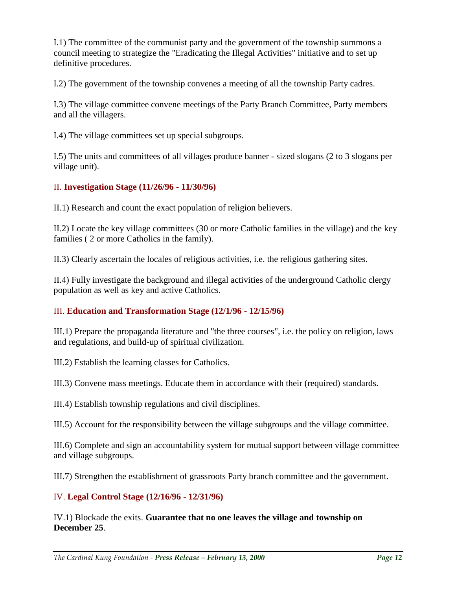I.1) The committee of the communist party and the government of the township summons a council meeting to strategize the "Eradicating the Illegal Activities" initiative and to set up definitive procedures.

I.2) The government of the township convenes a meeting of all the township Party cadres.

I.3) The village committee convene meetings of the Party Branch Committee, Party members and all the villagers.

I.4) The village committees set up special subgroups.

I.5) The units and committees of all villages produce banner - sized slogans (2 to 3 slogans per village unit).

## II. **Investigation Stage (11/26/96 - 11/30/96)**

II.1) Research and count the exact population of religion believers.

II.2) Locate the key village committees (30 or more Catholic families in the village) and the key families ( 2 or more Catholics in the family).

II.3) Clearly ascertain the locales of religious activities, i.e. the religious gathering sites.

II.4) Fully investigate the background and illegal activities of the underground Catholic clergy population as well as key and active Catholics.

# III. **Education and Transformation Stage (12/1/96 - 12/15/96)**

III.1) Prepare the propaganda literature and "the three courses", i.e. the policy on religion, laws and regulations, and build-up of spiritual civilization.

III.2) Establish the learning classes for Catholics.

III.3) Convene mass meetings. Educate them in accordance with their (required) standards.

III.4) Establish township regulations and civil disciplines.

III.5) Account for the responsibility between the village subgroups and the village committee.

III.6) Complete and sign an accountability system for mutual support between village committee and village subgroups.

III.7) Strengthen the establishment of grassroots Party branch committee and the government.

# IV. **Legal Control Stage (12/16/96 - 12/31/96)**

IV.1) Blockade the exits. **Guarantee that no one leaves the village and township on December 25**.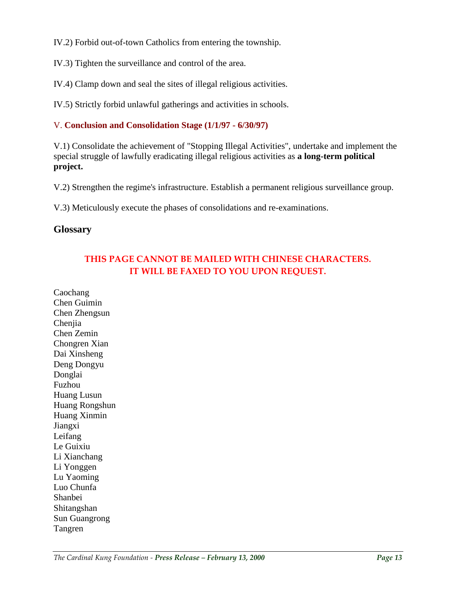IV.2) Forbid out-of-town Catholics from entering the township.

IV.3) Tighten the surveillance and control of the area.

IV.4) Clamp down and seal the sites of illegal religious activities.

IV.5) Strictly forbid unlawful gatherings and activities in schools.

# V. **Conclusion and Consolidation Stage (1/1/97 - 6/30/97)**

V.1) Consolidate the achievement of "Stopping Illegal Activities", undertake and implement the special struggle of lawfully eradicating illegal religious activities as **a long-term political project.** 

V.2) Strengthen the regime's infrastructure. Establish a permanent religious surveillance group.

V.3) Meticulously execute the phases of consolidations and re-examinations.

# **Glossary**

# **THIS PAGE CANNOT BE MAILED WITH CHINESE CHARACTERS. IT WILL BE FAXED TO YOU UPON REQUEST.**

Caochang Chen Guimin Chen Zhengsun Chenjia Chen Zemin Chongren Xian Dai Xinsheng Deng Dongyu Donglai Fuzhou Huang Lusun Huang Rongshun Huang Xinmin Jiangxi Leifang Le Guixiu Li Xianchang Li Yonggen Lu Yaoming Luo Chunfa Shanbei Shitangshan Sun Guangrong Tangren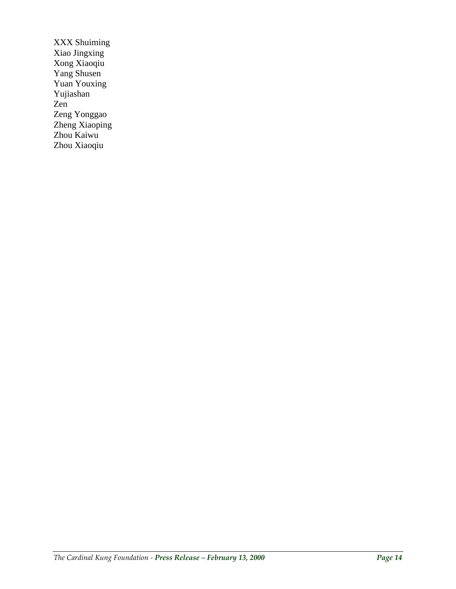XXX Shuiming Xiao Jingxing Xong Xiaoqiu Yang Shusen Yuan Youxing Yujiashan Zen Zeng Yonggao Zheng Xiaoping Zhou Kaiwu Zhou Xiaoqiu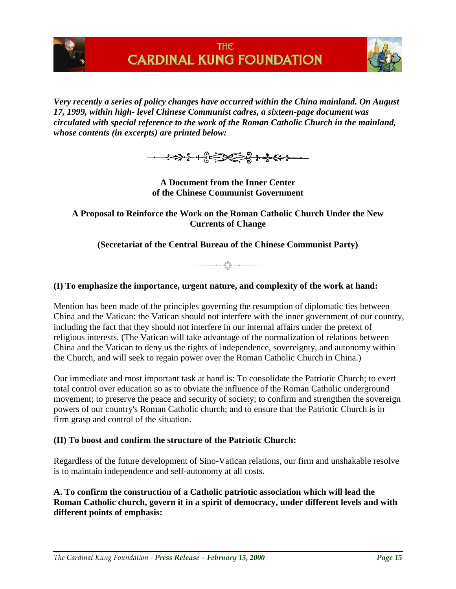



*Very recently a series of policy changes have occurred within the China mainland. On August 17, 1999, within high- level Chinese Communist cadres, a sixteen-page document was circulated with special reference to the work of the Roman Catholic Church in the mainland, whose contents (in excerpts) are printed below:* 



**A Document from the Inner Center of the Chinese Communist Government**

**A Proposal to Reinforce the Work on the Roman Catholic Church Under the New Currents of Change**

**(Secretariat of the Central Bureau of the Chinese Communist Party)**

 $-$  a  $\frac{6\frac{9}{2}}{6\frac{9}{2}}$  a  $-$  a  $-$ 

## **(I) To emphasize the importance, urgent nature, and complexity of the work at hand:**

Mention has been made of the principles governing the resumption of diplomatic ties between China and the Vatican: the Vatican should not interfere with the inner government of our country, including the fact that they should not interfere in our internal affairs under the pretext of religious interests. (The Vatican will take advantage of the normalization of relations between China and the Vatican to deny us the rights of independence, sovereignty, and autonomy within the Church, and will seek to regain power over the Roman Catholic Church in China.)

Our immediate and most important task at hand is: To consolidate the Patriotic Church; to exert total control over education so as to obviate the influence of the Roman Catholic underground movement; to preserve the peace and security of society; to confirm and strengthen the sovereign powers of our country's Roman Catholic church; and to ensure that the Patriotic Church is in firm grasp and control of the situation.

## **(II) To boost and confirm the structure of the Patriotic Church:**

Regardless of the future development of Sino-Vatican relations, our firm and unshakable resolve is to maintain independence and self-autonomy at all costs.

**A. To confirm the construction of a Catholic patriotic association which will lead the Roman Catholic church, govern it in a spirit of democracy, under different levels and with different points of emphasis:**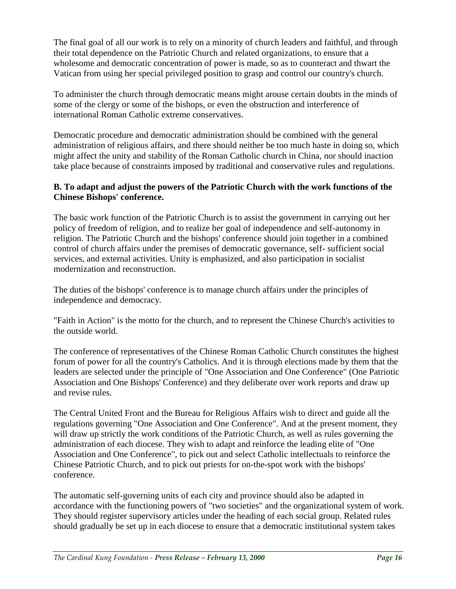The final goal of all our work is to rely on a minority of church leaders and faithful, and through their total dependence on the Patriotic Church and related organizations, to ensure that a wholesome and democratic concentration of power is made, so as to counteract and thwart the Vatican from using her special privileged position to grasp and control our country's church.

To administer the church through democratic means might arouse certain doubts in the minds of some of the clergy or some of the bishops, or even the obstruction and interference of international Roman Catholic extreme conservatives.

Democratic procedure and democratic administration should be combined with the general administration of religious affairs, and there should neither be too much haste in doing so, which might affect the unity and stability of the Roman Catholic church in China, nor should inaction take place because of constraints imposed by traditional and conservative rules and regulations.

## **B. To adapt and adjust the powers of the Patriotic Church with the work functions of the Chinese Bishops' conference.**

The basic work function of the Patriotic Church is to assist the government in carrying out her policy of freedom of religion, and to realize her goal of independence and self-autonomy in religion. The Patriotic Church and the bishops' conference should join together in a combined control of church affairs under the premises of democratic governance, self- sufficient social services, and external activities. Unity is emphasized, and also participation in socialist modernization and reconstruction.

The duties of the bishops' conference is to manage church affairs under the principles of independence and democracy.

"Faith in Action" is the motto for the church, and to represent the Chinese Church's activities to the outside world.

The conference of representatives of the Chinese Roman Catholic Church constitutes the highest forum of power for all the country's Catholics. And it is through elections made by them that the leaders are selected under the principle of "One Association and One Conference" (One Patriotic Association and One Bishops' Conference) and they deliberate over work reports and draw up and revise rules.

The Central United Front and the Bureau for Religious Affairs wish to direct and guide all the regulations governing "One Association and One Conference". And at the present moment, they will draw up strictly the work conditions of the Patriotic Church, as well as rules governing the administration of each diocese. They wish to adapt and reinforce the leading elite of "One Association and One Conference", to pick out and select Catholic intellectuals to reinforce the Chinese Patriotic Church, and to pick out priests for on-the-spot work with the bishops' conference.

The automatic self-governing units of each city and province should also be adapted in accordance with the functioning powers of "two societies" and the organizational system of work. They should register supervisory articles under the heading of each social group. Related rules should gradually be set up in each diocese to ensure that a democratic institutional system takes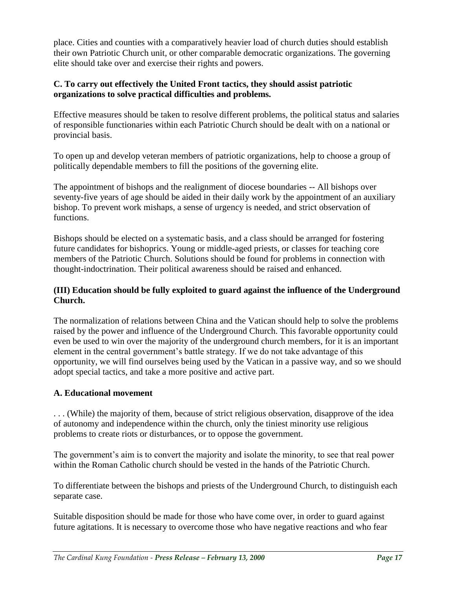place. Cities and counties with a comparatively heavier load of church duties should establish their own Patriotic Church unit, or other comparable democratic organizations. The governing elite should take over and exercise their rights and powers.

## **C. To carry out effectively the United Front tactics, they should assist patriotic organizations to solve practical difficulties and problems.**

Effective measures should be taken to resolve different problems, the political status and salaries of responsible functionaries within each Patriotic Church should be dealt with on a national or provincial basis.

To open up and develop veteran members of patriotic organizations, help to choose a group of politically dependable members to fill the positions of the governing elite.

The appointment of bishops and the realignment of diocese boundaries -- All bishops over seventy-five years of age should be aided in their daily work by the appointment of an auxiliary bishop. To prevent work mishaps, a sense of urgency is needed, and strict observation of functions.

Bishops should be elected on a systematic basis, and a class should be arranged for fostering future candidates for bishoprics. Young or middle-aged priests, or classes for teaching core members of the Patriotic Church. Solutions should be found for problems in connection with thought-indoctrination. Their political awareness should be raised and enhanced.

# **(III) Education should be fully exploited to guard against the influence of the Underground Church.**

The normalization of relations between China and the Vatican should help to solve the problems raised by the power and influence of the Underground Church. This favorable opportunity could even be used to win over the majority of the underground church members, for it is an important element in the central government's battle strategy. If we do not take advantage of this opportunity, we will find ourselves being used by the Vatican in a passive way, and so we should adopt special tactics, and take a more positive and active part.

# **A. Educational movement**

. . . (While) the majority of them, because of strict religious observation, disapprove of the idea of autonomy and independence within the church, only the tiniest minority use religious problems to create riots or disturbances, or to oppose the government.

The government's aim is to convert the majority and isolate the minority, to see that real power within the Roman Catholic church should be vested in the hands of the Patriotic Church.

To differentiate between the bishops and priests of the Underground Church, to distinguish each separate case.

Suitable disposition should be made for those who have come over, in order to guard against future agitations. It is necessary to overcome those who have negative reactions and who fear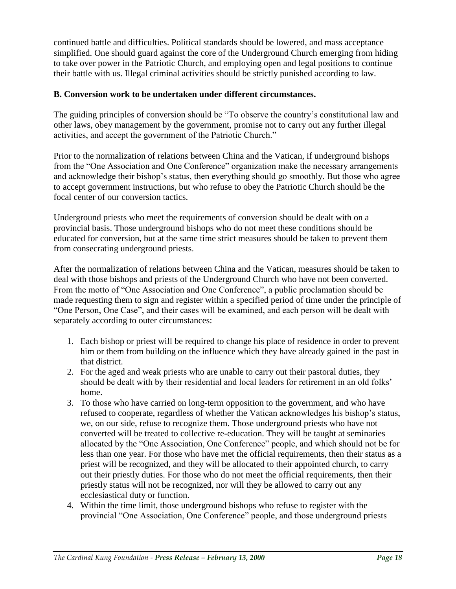continued battle and difficulties. Political standards should be lowered, and mass acceptance simplified. One should guard against the core of the Underground Church emerging from hiding to take over power in the Patriotic Church, and employing open and legal positions to continue their battle with us. Illegal criminal activities should be strictly punished according to law.

## **B. Conversion work to be undertaken under different circumstances.**

The guiding principles of conversion should be "To observe the country's constitutional law and other laws, obey management by the government, promise not to carry out any further illegal activities, and accept the government of the Patriotic Church."

Prior to the normalization of relations between China and the Vatican, if underground bishops from the "One Association and One Conference" organization make the necessary arrangements and acknowledge their bishop's status, then everything should go smoothly. But those who agree to accept government instructions, but who refuse to obey the Patriotic Church should be the focal center of our conversion tactics.

Underground priests who meet the requirements of conversion should be dealt with on a provincial basis. Those underground bishops who do not meet these conditions should be educated for conversion, but at the same time strict measures should be taken to prevent them from consecrating underground priests.

After the normalization of relations between China and the Vatican, measures should be taken to deal with those bishops and priests of the Underground Church who have not been converted. From the motto of "One Association and One Conference", a public proclamation should be made requesting them to sign and register within a specified period of time under the principle of "One Person, One Case", and their cases will be examined, and each person will be dealt with separately according to outer circumstances:

- 1. Each bishop or priest will be required to change his place of residence in order to prevent him or them from building on the influence which they have already gained in the past in that district.
- 2. For the aged and weak priests who are unable to carry out their pastoral duties, they should be dealt with by their residential and local leaders for retirement in an old folks' home.
- 3. To those who have carried on long-term opposition to the government, and who have refused to cooperate, regardless of whether the Vatican acknowledges his bishop's status, we, on our side, refuse to recognize them. Those underground priests who have not converted will be treated to collective re-education. They will be taught at seminaries allocated by the "One Association, One Conference" people, and which should not be for less than one year. For those who have met the official requirements, then their status as a priest will be recognized, and they will be allocated to their appointed church, to carry out their priestly duties. For those who do not meet the official requirements, then their priestly status will not be recognized, nor will they be allowed to carry out any ecclesiastical duty or function.
- 4. Within the time limit, those underground bishops who refuse to register with the provincial "One Association, One Conference" people, and those underground priests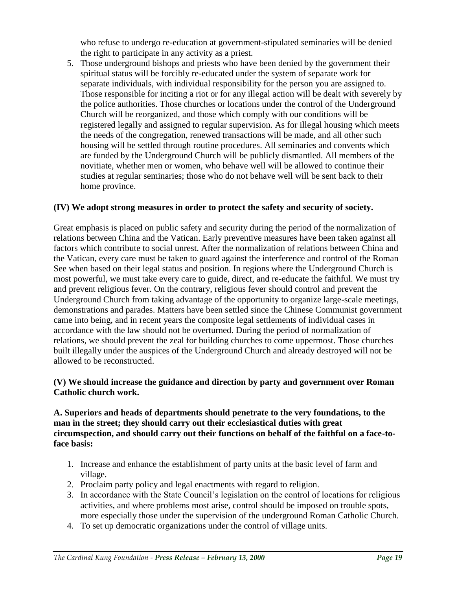who refuse to undergo re-education at government-stipulated seminaries will be denied the right to participate in any activity as a priest.

5. Those underground bishops and priests who have been denied by the government their spiritual status will be forcibly re-educated under the system of separate work for separate individuals, with individual responsibility for the person you are assigned to. Those responsible for inciting a riot or for any illegal action will be dealt with severely by the police authorities. Those churches or locations under the control of the Underground Church will be reorganized, and those which comply with our conditions will be registered legally and assigned to regular supervision. As for illegal housing which meets the needs of the congregation, renewed transactions will be made, and all other such housing will be settled through routine procedures. All seminaries and convents which are funded by the Underground Church will be publicly dismantled. All members of the novitiate, whether men or women, who behave well will be allowed to continue their studies at regular seminaries; those who do not behave well will be sent back to their home province.

## **(IV) We adopt strong measures in order to protect the safety and security of society.**

Great emphasis is placed on public safety and security during the period of the normalization of relations between China and the Vatican. Early preventive measures have been taken against all factors which contribute to social unrest. After the normalization of relations between China and the Vatican, every care must be taken to guard against the interference and control of the Roman See when based on their legal status and position. In regions where the Underground Church is most powerful, we must take every care to guide, direct, and re-educate the faithful. We must try and prevent religious fever. On the contrary, religious fever should control and prevent the Underground Church from taking advantage of the opportunity to organize large-scale meetings, demonstrations and parades. Matters have been settled since the Chinese Communist government came into being, and in recent years the composite legal settlements of individual cases in accordance with the law should not be overturned. During the period of normalization of relations, we should prevent the zeal for building churches to come uppermost. Those churches built illegally under the auspices of the Underground Church and already destroyed will not be allowed to be reconstructed.

## **(V) We should increase the guidance and direction by party and government over Roman Catholic church work.**

### **A. Superiors and heads of departments should penetrate to the very foundations, to the man in the street; they should carry out their ecclesiastical duties with great circumspection, and should carry out their functions on behalf of the faithful on a face-toface basis:**

- 1. Increase and enhance the establishment of party units at the basic level of farm and village.
- 2. Proclaim party policy and legal enactments with regard to religion.
- 3. In accordance with the State Council's legislation on the control of locations for religious activities, and where problems most arise, control should be imposed on trouble spots, more especially those under the supervision of the underground Roman Catholic Church.
- 4. To set up democratic organizations under the control of village units.